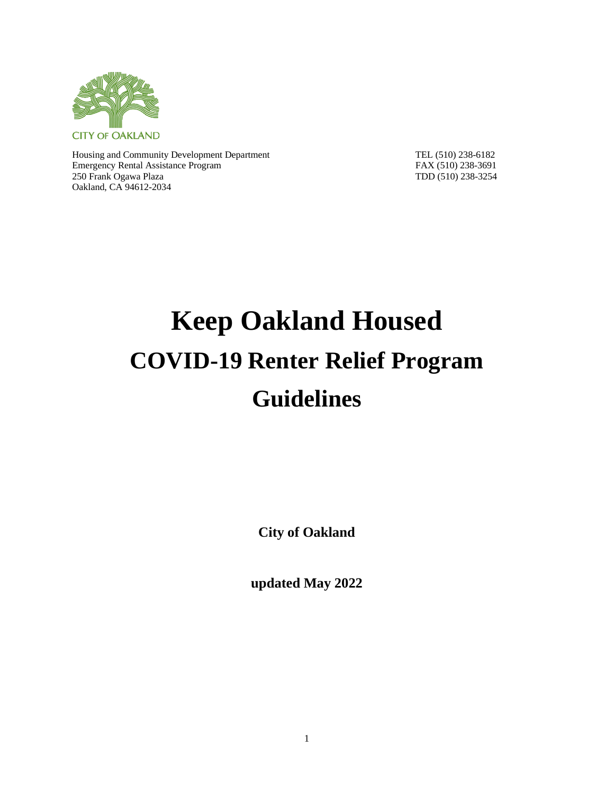

Housing and Community Development Department TEL (510) 238-6182<br>Emergency Rental Assistance Program FAX (510) 238-3691 Emergency Rental Assistance Program FAX (510) 238-3691<br>250 Frank Ogawa Plaza TDD (510) 238-3254 250 Frank Ogawa Plaza Oakland, CA 94612-2034

# **Keep Oakland Housed COVID-19 Renter Relief Program Guidelines**

**City of Oakland** 

**updated May 2022**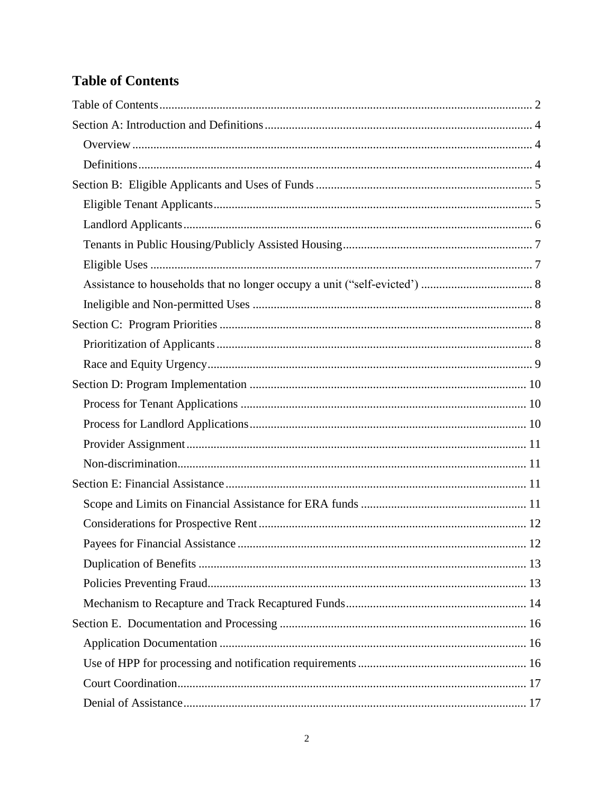## <span id="page-1-0"></span>**Table of Contents**

| 12 |
|----|
|    |
|    |
|    |
|    |
|    |
|    |
|    |
|    |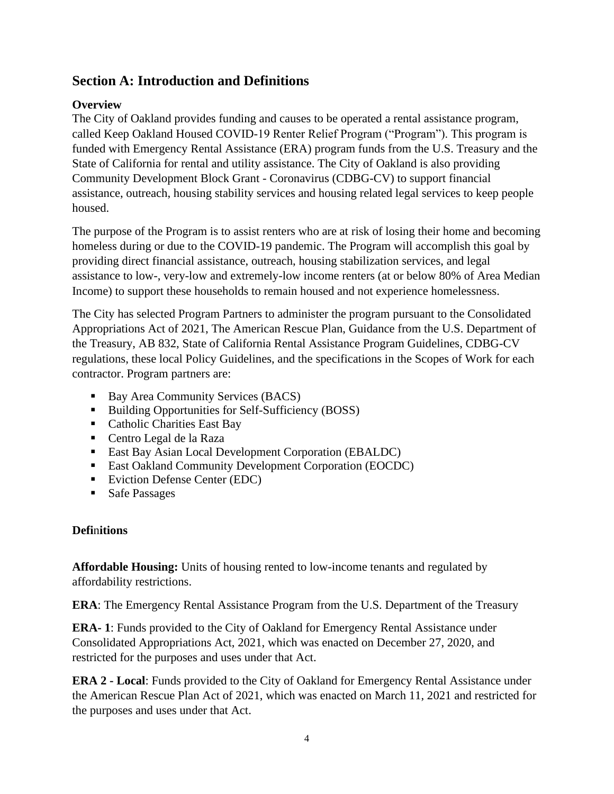## <span id="page-3-0"></span>**Section A: Introduction and Definitions**

## <span id="page-3-1"></span>**Overview**

The City of Oakland provides funding and causes to be operated a rental assistance program, called Keep Oakland Housed COVID-19 Renter Relief Program ("Program"). This program is funded with Emergency Rental Assistance (ERA) program funds from the U.S. Treasury and the State of California for rental and utility assistance. The City of Oakland is also providing Community Development Block Grant - Coronavirus (CDBG-CV) to support financial assistance, outreach, housing stability services and housing related legal services to keep people housed.

The purpose of the Program is to assist renters who are at risk of losing their home and becoming homeless during or due to the COVID-19 pandemic. The Program will accomplish this goal by providing direct financial assistance, outreach, housing stabilization services, and legal assistance to low-, very-low and extremely-low income renters (at or below 80% of Area Median Income) to support these households to remain housed and not experience homelessness.

The City has selected Program Partners to administer the program pursuant to the Consolidated Appropriations Act of 2021, The American Rescue Plan, Guidance from the [U.S. Department of](https://home.treasury.gov/policy-issues/coronavirus/assistance-for-state-local-and-tribal-governments/emergency-rental-assistance-program)  [the Treasury,](https://home.treasury.gov/policy-issues/coronavirus/assistance-for-state-local-and-tribal-governments/emergency-rental-assistance-program) AB 832, State of California Rental Assistance Program Guidelines, CDBG-CV regulations, these local Policy Guidelines, and the specifications in the Scopes of Work for each contractor. Program partners are:

- Bay Area Community Services (BACS)
- Building Opportunities for Self-Sufficiency (BOSS)
- Catholic Charities East Bay
- Centro Legal de la Raza
- East Bay Asian Local Development Corporation (EBALDC)
- East Oakland Community Development Corporation (EOCDC)
- Eviction Defense Center (EDC)
- Safe Passages

## <span id="page-3-2"></span>**Defi**n**itions**

**Affordable Housing:** Units of housing rented to low-income tenants and regulated by affordability restrictions.

**ERA**: The Emergency Rental Assistance Program from the U.S. Department of the Treasury

**ERA- 1**: Funds provided to the City of Oakland for Emergency Rental Assistance under Consolidated Appropriations Act, 2021, which was enacted on December 27, 2020, and restricted for the purposes and uses under that Act.

**ERA 2 - Local**: Funds provided to the City of Oakland for Emergency Rental Assistance under the American Rescue Plan Act of 2021, which was enacted on March 11, 2021 and restricted for the purposes and uses under that Act.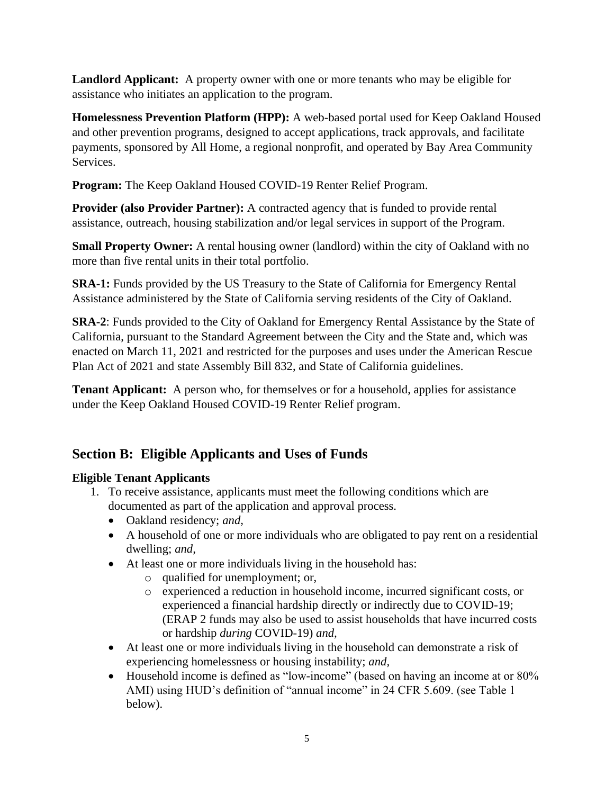**Landlord Applicant:** A property owner with one or more tenants who may be eligible for assistance who initiates an application to the program.

**Homelessness Prevention Platform (HPP):** A web-based portal used for Keep Oakland Housed and other prevention programs, designed to accept applications, track approvals, and facilitate payments, sponsored by All Home, a regional nonprofit, and operated by Bay Area Community Services.

**Program:** The Keep Oakland Housed COVID-19 Renter Relief Program.

**Provider (also Provider Partner):** A contracted agency that is funded to provide rental assistance, outreach, housing stabilization and/or legal services in support of the Program.

**Small Property Owner:** A rental housing owner (landlord) within the city of Oakland with no more than five rental units in their total portfolio.

**SRA-1:** Funds provided by the US Treasury to the State of California for Emergency Rental Assistance administered by the State of California serving residents of the City of Oakland.

**SRA-2**: Funds provided to the City of Oakland for Emergency Rental Assistance by the State of California, pursuant to the Standard Agreement between the City and the State and, which was enacted on March 11, 2021 and restricted for the purposes and uses under the American Rescue Plan Act of 2021 and state Assembly Bill 832, and State of California guidelines.

**Tenant Applicant:** A person who, for themselves or for a household, applies for assistance under the Keep Oakland Housed COVID-19 Renter Relief program.

## <span id="page-4-0"></span>**Section B: Eligible Applicants and Uses of Funds**

## <span id="page-4-1"></span>**Eligible Tenant Applicants**

- 1. To receive assistance, applicants must meet the following conditions which are documented as part of the application and approval process.
	- Oakland residency; *and,*
	- A household of one or more individuals who are obligated to pay rent on a residential dwelling; *and,*
	- At least one or more individuals living in the household has:
		- o qualified for unemployment; or,
		- o experienced a reduction in household income, incurred significant costs, or experienced a financial hardship directly or indirectly due to COVID-19; (ERAP 2 funds may also be used to assist households that have incurred costs or hardship *during* COVID-19) *and,*
	- At least one or more individuals living in the household can demonstrate a risk of experiencing homelessness or housing instability; *and,*
	- Household income is defined as "low-income" (based on having an income at or 80% AMI) using HUD's definition of "annual income" in 24 CFR 5.609. (see Table 1 below).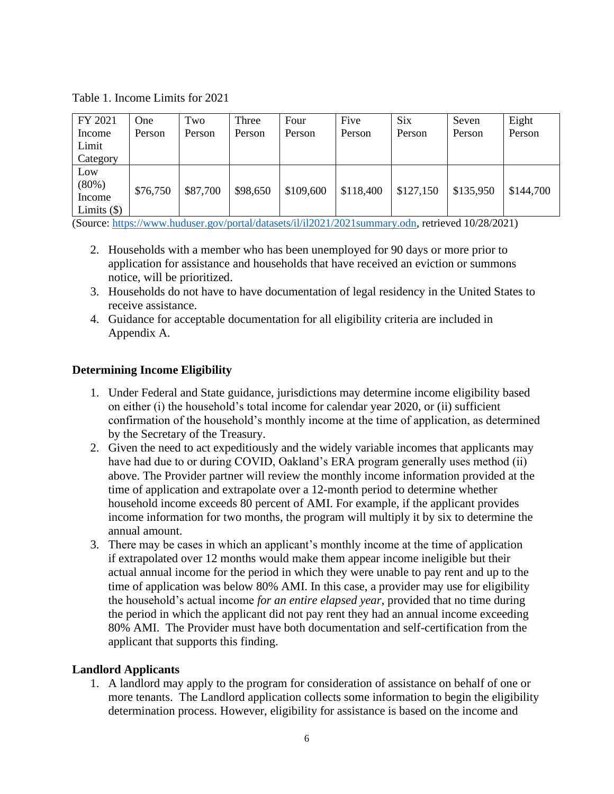Table 1. Income Limits for 2021

| FY 2021       | One      | Two      | Three    | Four      | Five      | <b>Six</b> | Seven     | Eight     |
|---------------|----------|----------|----------|-----------|-----------|------------|-----------|-----------|
| Income        | Person   | Person   | Person   | Person    | Person    | Person     | Person    | Person    |
| Limit         |          |          |          |           |           |            |           |           |
| Category      |          |          |          |           |           |            |           |           |
| Low           |          |          |          |           |           |            |           |           |
| (80%)         | \$76,750 | \$87,700 | \$98,650 | \$109,600 | \$118,400 | \$127,150  | \$135,950 | \$144,700 |
| Income        |          |          |          |           |           |            |           |           |
| Limits $(\$)$ |          |          |          |           |           |            |           |           |

(Source: [https://www.huduser.gov/portal/datasets/il/il2021/2021summary.odn,](https://www.huduser.gov/portal/datasets/il/il2021/2021summary.odn) retrieved 10/28/2021)

- 2. Households with a member who has been unemployed for 90 days or more prior to application for assistance and households that have received an eviction or summons notice, will be prioritized.
- 3. Households do not have to have documentation of legal residency in the United States to receive assistance.
- 4. Guidance for acceptable documentation for all eligibility criteria are included in Appendix A.

#### **Determining Income Eligibility**

- 1. Under Federal and State guidance, jurisdictions may determine income eligibility based on either (i) the household's total income for calendar year 2020, or (ii) sufficient confirmation of the household's monthly income at the time of application, as determined by the Secretary of the Treasury.
- 2. Given the need to act expeditiously and the widely variable incomes that applicants may have had due to or during COVID, Oakland's ERA program generally uses method (ii) above. The Provider partner will review the monthly income information provided at the time of application and extrapolate over a 12-month period to determine whether household income exceeds 80 percent of AMI. For example, if the applicant provides income information for two months, the program will multiply it by six to determine the annual amount.
- 3. There may be cases in which an applicant's monthly income at the time of application if extrapolated over 12 months would make them appear income ineligible but their actual annual income for the period in which they were unable to pay rent and up to the time of application was below 80% AMI. In this case, a provider may use for eligibility the household's actual income *for an entire elapsed year*, provided that no time during the period in which the applicant did not pay rent they had an annual income exceeding 80% AMI. The Provider must have both documentation and self-certification from the applicant that supports this finding.

#### <span id="page-5-0"></span>**Landlord Applicants**

1. A landlord may apply to the program for consideration of assistance on behalf of one or more tenants. The Landlord application collects some information to begin the eligibility determination process. However, eligibility for assistance is based on the income and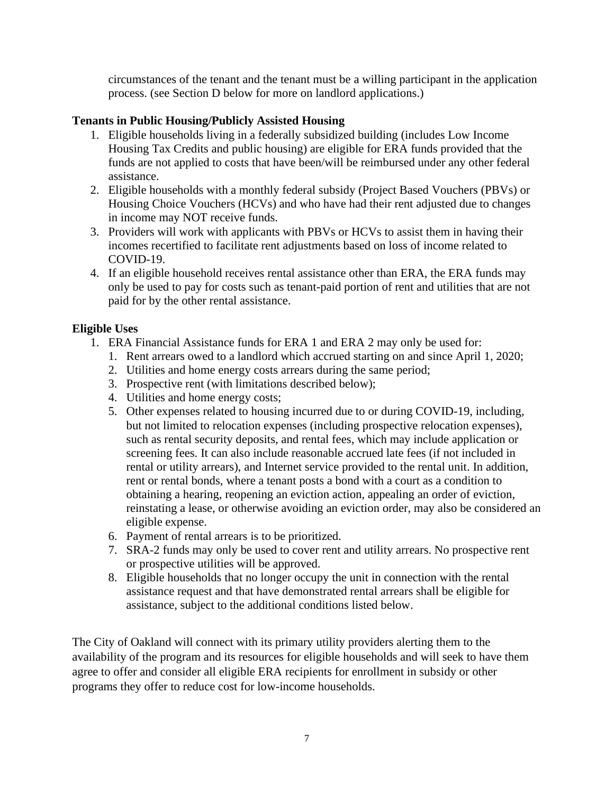circumstances of the tenant and the tenant must be a willing participant in the application process. (see Section D below for more on landlord applications.)

#### <span id="page-6-0"></span>**Tenants in Public Housing/Publicly Assisted Housing**

- 1. Eligible households living in a federally subsidized building (includes Low Income Housing Tax Credits and public housing) are eligible for ERA funds provided that the funds are not applied to costs that have been/will be reimbursed under any other federal assistance.
- 2. Eligible households with a monthly federal subsidy (Project Based Vouchers (PBVs) or Housing Choice Vouchers (HCVs) and who have had their rent adjusted due to changes in income may NOT receive funds.
- 3. Providers will work with applicants with PBVs or HCVs to assist them in having their incomes recertified to facilitate rent adjustments based on loss of income related to COVID-19.
- 4. If an eligible household receives rental assistance other than ERA, the ERA funds may only be used to pay for costs such as tenant-paid portion of rent and utilities that are not paid for by the other rental assistance.

#### <span id="page-6-1"></span>**Eligible Uses**

- 1. ERA Financial Assistance funds for ERA 1 and ERA 2 may only be used for:
	- 1. Rent arrears owed to a landlord which accrued starting on and since April 1, 2020;
	- 2. Utilities and home energy costs arrears during the same period;
	- 3. Prospective rent (with limitations described below);
	- 4. Utilities and home energy costs;
	- 5. Other expenses related to housing incurred due to or during COVID-19, including, but not limited to relocation expenses (including prospective relocation expenses), such as rental security deposits, and rental fees, which may include application or screening fees. It can also include reasonable accrued late fees (if not included in rental or utility arrears), and Internet service provided to the rental unit. In addition, rent or rental bonds, where a tenant posts a bond with a court as a condition to obtaining a hearing, reopening an eviction action, appealing an order of eviction, reinstating a lease, or otherwise avoiding an eviction order, may also be considered an eligible expense.
	- 6. Payment of rental arrears is to be prioritized.
	- 7. SRA-2 funds may only be used to cover rent and utility arrears. No prospective rent or prospective utilities will be approved.
	- 8. Eligible households that no longer occupy the unit in connection with the rental assistance request and that have demonstrated rental arrears shall be eligible for assistance, subject to the additional conditions listed below.

The City of Oakland will connect with its primary utility providers alerting them to the availability of the program and its resources for eligible households and will seek to have them agree to offer and consider all eligible ERA recipients for enrollment in subsidy or other programs they offer to reduce cost for low-income households.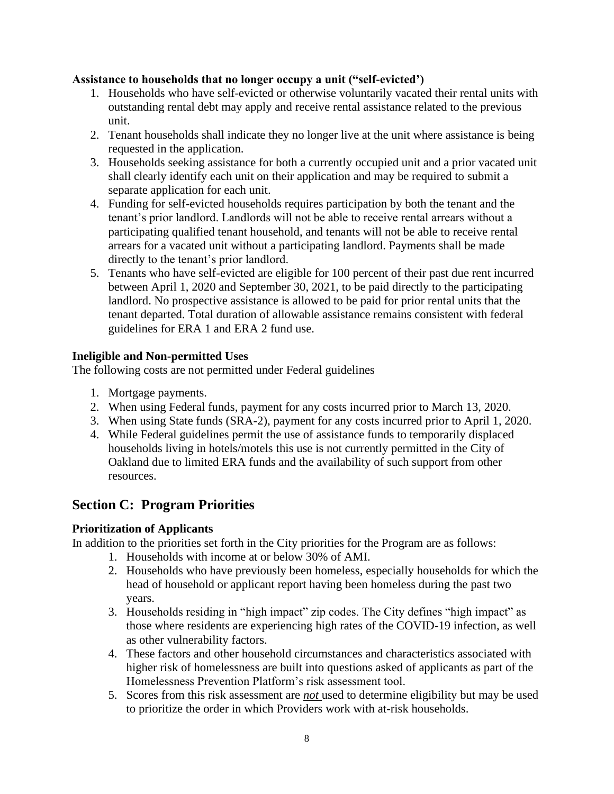#### <span id="page-7-0"></span>**Assistance to households that no longer occupy a unit ("self-evicted')**

- 1. Households who have self-evicted or otherwise voluntarily vacated their rental units with outstanding rental debt may apply and receive rental assistance related to the previous unit.
- 2. Tenant households shall indicate they no longer live at the unit where assistance is being requested in the application.
- 3. Households seeking assistance for both a currently occupied unit and a prior vacated unit shall clearly identify each unit on their application and may be required to submit a separate application for each unit.
- 4. Funding for self-evicted households requires participation by both the tenant and the tenant's prior landlord. Landlords will not be able to receive rental arrears without a participating qualified tenant household, and tenants will not be able to receive rental arrears for a vacated unit without a participating landlord. Payments shall be made directly to the tenant's prior landlord.
- 5. Tenants who have self-evicted are eligible for 100 percent of their past due rent incurred between April 1, 2020 and September 30, 2021, to be paid directly to the participating landlord. No prospective assistance is allowed to be paid for prior rental units that the tenant departed. Total duration of allowable assistance remains consistent with federal guidelines for ERA 1 and ERA 2 fund use.

#### <span id="page-7-1"></span>**Ineligible and Non-permitted Uses**

The following costs are not permitted under Federal guidelines

- 1. Mortgage payments.
- 2. When using Federal funds, payment for any costs incurred prior to March 13, 2020.
- 3. When using State funds (SRA-2), payment for any costs incurred prior to April 1, 2020.
- 4. While Federal guidelines permit the use of assistance funds to temporarily displaced households living in hotels/motels this use is not currently permitted in the City of Oakland due to limited ERA funds and the availability of such support from other resources.

## <span id="page-7-2"></span>**Section C: Program Priorities**

#### <span id="page-7-3"></span>**Prioritization of Applicants**

In addition to the priorities set forth in the City priorities for the Program are as follows:

- 1. Households with income at or below 30% of AMI.
- 2. Households who have previously been homeless, especially households for which the head of household or applicant report having been homeless during the past two years.
- 3. Households residing in "high impact" zip codes. The City defines "high impact" as those where residents are experiencing high rates of the COVID-19 infection, as well as other vulnerability factors.
- 4. These factors and other household circumstances and characteristics associated with higher risk of homelessness are built into questions asked of applicants as part of the Homelessness Prevention Platform's risk assessment tool.
- 5. Scores from this risk assessment are *not* used to determine eligibility but may be used to prioritize the order in which Providers work with at-risk households.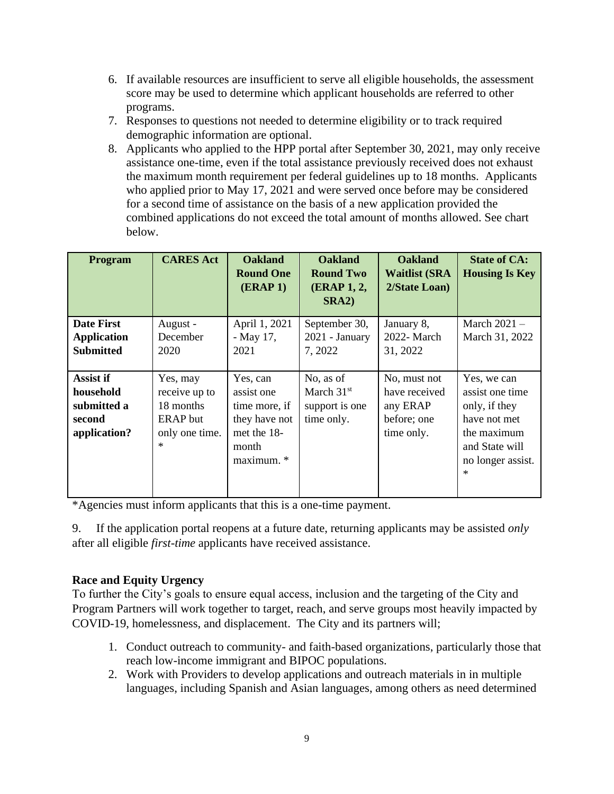- 6. If available resources are insufficient to serve all eligible households, the assessment score may be used to determine which applicant households are referred to other programs.
- 7. Responses to questions not needed to determine eligibility or to track required demographic information are optional.
- 8. Applicants who applied to the HPP portal after September 30, 2021, may only receive assistance one-time, even if the total assistance previously received does not exhaust the maximum month requirement per federal guidelines up to 18 months. Applicants who applied prior to May 17, 2021 and were served once before may be considered for a second time of assistance on the basis of a new application provided the combined applications do not exceed the total amount of months allowed. See chart below.

| <b>Program</b>                                                  | <b>CARES Act</b>                                                               | <b>Oakland</b><br><b>Round One</b><br>(ERAP1)                                                  | <b>Oakland</b><br><b>Round Two</b><br><b>(ERAP 1, 2,</b><br>SRA2    | <b>Oakland</b><br><b>Waitlist (SRA</b><br>2/State Loan)                | <b>State of CA:</b><br><b>Housing Is Key</b>                                                                                    |
|-----------------------------------------------------------------|--------------------------------------------------------------------------------|------------------------------------------------------------------------------------------------|---------------------------------------------------------------------|------------------------------------------------------------------------|---------------------------------------------------------------------------------------------------------------------------------|
| <b>Date First</b><br><b>Application</b><br><b>Submitted</b>     | August -<br>December<br>2020                                                   | April 1, 2021<br>$-May$ 17,<br>2021                                                            | September 30,<br>2021 - January<br>7, 2022                          | January 8,<br>2022- March<br>31, 2022                                  | March 2021 -<br>March 31, 2022                                                                                                  |
| Assist if<br>household<br>submitted a<br>second<br>application? | Yes, may<br>receive up to<br>18 months<br>ERAP but<br>only one time.<br>$\ast$ | Yes, can<br>assist one<br>time more, if<br>they have not<br>met the 18-<br>month<br>maximum. * | No, as of<br>March 31 <sup>st</sup><br>support is one<br>time only. | No, must not<br>have received<br>any ERAP<br>before; one<br>time only. | Yes, we can<br>assist one time<br>only, if they<br>have not met<br>the maximum<br>and State will<br>no longer assist.<br>$\ast$ |

\*Agencies must inform applicants that this is a one-time payment.

9. If the application portal reopens at a future date, returning applicants may be assisted *only* after all eligible *first-time* applicants have received assistance.

#### <span id="page-8-0"></span>**Race and Equity Urgency**

To further the City's goals to ensure equal access, inclusion and the targeting of the City and Program Partners will work together to target, reach, and serve groups most heavily impacted by COVID-19, homelessness, and displacement. The City and its partners will;

- 1. Conduct outreach to community- and faith-based organizations, particularly those that reach low-income immigrant and BIPOC populations.
- 2. Work with Providers to develop applications and outreach materials in in multiple languages, including Spanish and Asian languages, among others as need determined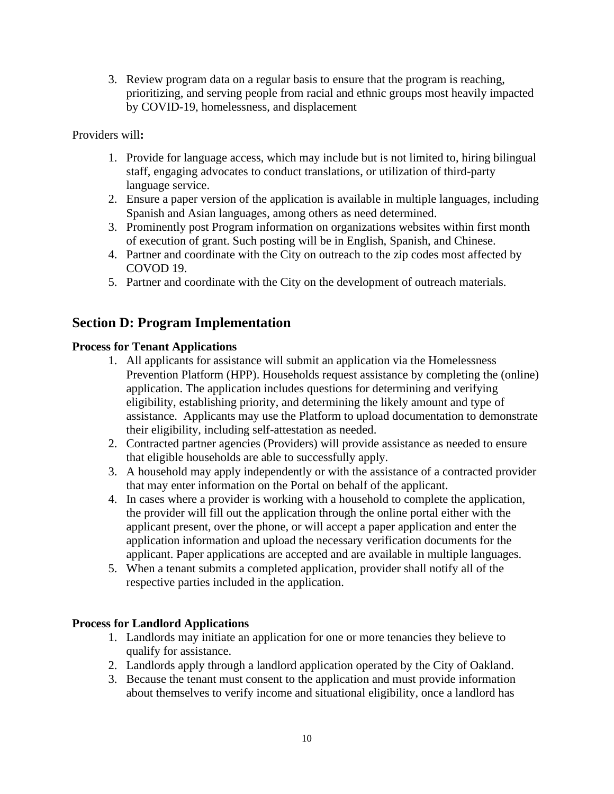3. Review program data on a regular basis to ensure that the program is reaching, prioritizing, and serving people from racial and ethnic groups most heavily impacted by COVID-19, homelessness, and displacement

Providers will**:**

- 1. Provide for language access, which may include but is not limited to, hiring bilingual staff, engaging advocates to conduct translations, or utilization of third-party language service.
- 2. Ensure a paper version of the application is available in multiple languages, including Spanish and Asian languages, among others as need determined.
- 3. Prominently post Program information on organizations websites within first month of execution of grant. Such posting will be in English, Spanish, and Chinese.
- 4. Partner and coordinate with the City on outreach to the zip codes most affected by COVOD 19.
- 5. Partner and coordinate with the City on the development of outreach materials.

## <span id="page-9-0"></span>**Section D: Program Implementation**

#### <span id="page-9-1"></span>**Process for Tenant Applications**

- 1. All applicants for assistance will submit an application via the Homelessness Prevention Platform (HPP). Households request assistance by completing the (online) application. The application includes questions for determining and verifying eligibility, establishing priority, and determining the likely amount and type of assistance. Applicants may use the Platform to upload documentation to demonstrate their eligibility, including self-attestation as needed.
- 2. Contracted partner agencies (Providers) will provide assistance as needed to ensure that eligible households are able to successfully apply.
- 3. A household may apply independently or with the assistance of a contracted provider that may enter information on the Portal on behalf of the applicant.
- 4. In cases where a provider is working with a household to complete the application, the provider will fill out the application through the online portal either with the applicant present, over the phone, or will accept a paper application and enter the application information and upload the necessary verification documents for the applicant. Paper applications are accepted and are available in multiple languages.
- 5. When a tenant submits a completed application, provider shall notify all of the respective parties included in the application.

## <span id="page-9-2"></span>**Process for Landlord Applications**

- 1. Landlords may initiate an application for one or more tenancies they believe to qualify for assistance.
- 2. Landlords apply through a landlord application operated by the City of Oakland.
- 3. Because the tenant must consent to the application and must provide information about themselves to verify income and situational eligibility, once a landlord has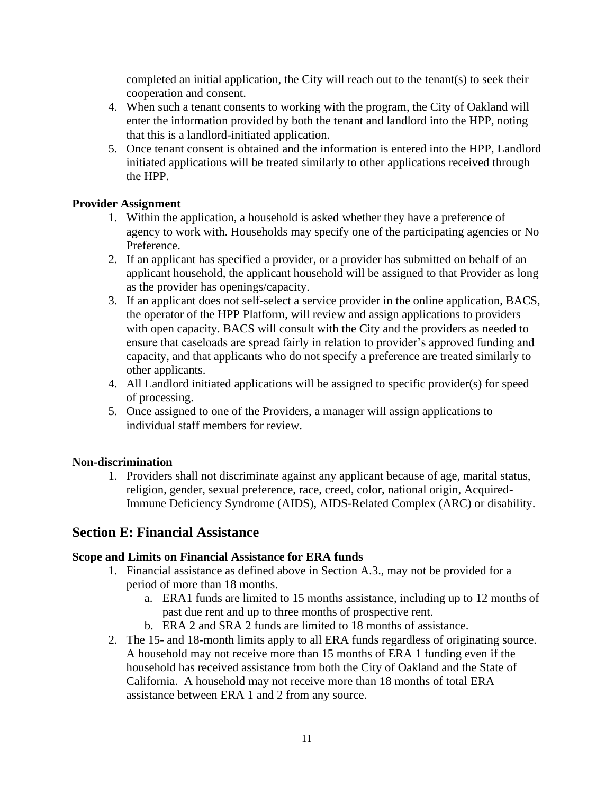completed an initial application, the City will reach out to the tenant(s) to seek their cooperation and consent.

- 4. When such a tenant consents to working with the program, the City of Oakland will enter the information provided by both the tenant and landlord into the HPP, noting that this is a landlord-initiated application.
- 5. Once tenant consent is obtained and the information is entered into the HPP, Landlord initiated applications will be treated similarly to other applications received through the HPP.

#### <span id="page-10-0"></span>**Provider Assignment**

- 1. Within the application, a household is asked whether they have a preference of agency to work with. Households may specify one of the participating agencies or No Preference.
- 2. If an applicant has specified a provider, or a provider has submitted on behalf of an applicant household, the applicant household will be assigned to that Provider as long as the provider has openings/capacity.
- 3. If an applicant does not self-select a service provider in the online application, BACS, the operator of the HPP Platform, will review and assign applications to providers with open capacity. BACS will consult with the City and the providers as needed to ensure that caseloads are spread fairly in relation to provider's approved funding and capacity, and that applicants who do not specify a preference are treated similarly to other applicants.
- 4. All Landlord initiated applications will be assigned to specific provider(s) for speed of processing.
- 5. Once assigned to one of the Providers, a manager will assign applications to individual staff members for review.

#### <span id="page-10-1"></span>**Non-discrimination**

1. Providers shall not discriminate against any applicant because of age, marital status, religion, gender, sexual preference, race, creed, color, national origin, Acquired-Immune Deficiency Syndrome (AIDS), AIDS-Related Complex (ARC) or disability.

#### <span id="page-10-2"></span>**Section E: Financial Assistance**

#### <span id="page-10-3"></span>**Scope and Limits on Financial Assistance for ERA funds**

- 1. Financial assistance as defined above in Section A.3., may not be provided for a period of more than 18 months.
	- a. ERA1 funds are limited to 15 months assistance, including up to 12 months of past due rent and up to three months of prospective rent.
	- b. ERA 2 and SRA 2 funds are limited to 18 months of assistance.
- 2. The 15- and 18-month limits apply to all ERA funds regardless of originating source. A household may not receive more than 15 months of ERA 1 funding even if the household has received assistance from both the City of Oakland and the State of California. A household may not receive more than 18 months of total ERA assistance between ERA 1 and 2 from any source.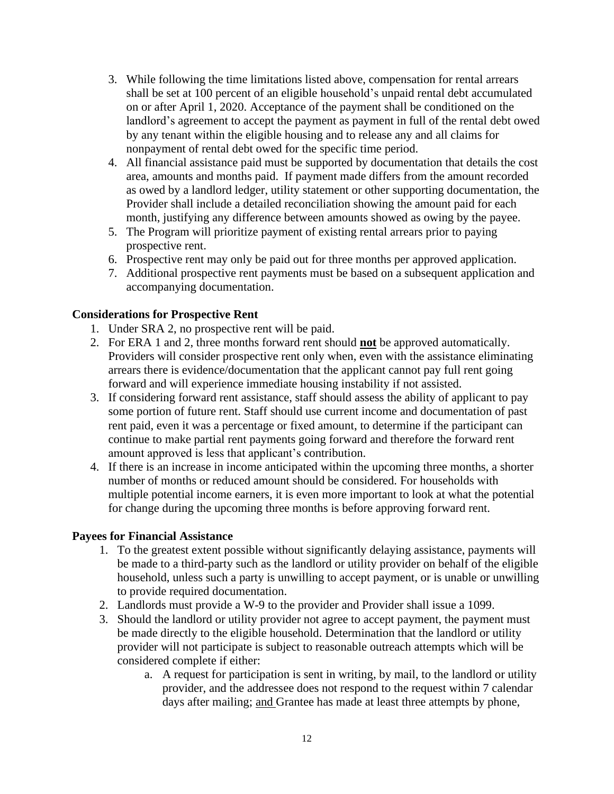- 3. While following the time limitations listed above, compensation for rental arrears shall be set at 100 percent of an eligible household's unpaid rental debt accumulated on or after April 1, 2020. Acceptance of the payment shall be conditioned on the landlord's agreement to accept the payment as payment in full of the rental debt owed by any tenant within the eligible housing and to release any and all claims for nonpayment of rental debt owed for the specific time period.
- 4. All financial assistance paid must be supported by documentation that details the cost area, amounts and months paid. If payment made differs from the amount recorded as owed by a landlord ledger, utility statement or other supporting documentation, the Provider shall include a detailed reconciliation showing the amount paid for each month, justifying any difference between amounts showed as owing by the payee.
- 5. The Program will prioritize payment of existing rental arrears prior to paying prospective rent.
- 6. Prospective rent may only be paid out for three months per approved application.
- 7. Additional prospective rent payments must be based on a subsequent application and accompanying documentation.

#### <span id="page-11-0"></span>**Considerations for Prospective Rent**

- 1. Under SRA 2, no prospective rent will be paid.
- 2. For ERA 1 and 2, three months forward rent should **not** be approved automatically. Providers will consider prospective rent only when, even with the assistance eliminating arrears there is evidence/documentation that the applicant cannot pay full rent going forward and will experience immediate housing instability if not assisted.
- 3. If considering forward rent assistance, staff should assess the ability of applicant to pay some portion of future rent. Staff should use current income and documentation of past rent paid, even it was a percentage or fixed amount, to determine if the participant can continue to make partial rent payments going forward and therefore the forward rent amount approved is less that applicant's contribution.
- 4. If there is an increase in income anticipated within the upcoming three months, a shorter number of months or reduced amount should be considered. For households with multiple potential income earners, it is even more important to look at what the potential for change during the upcoming three months is before approving forward rent.

#### <span id="page-11-1"></span>**Payees for Financial Assistance**

- 1. To the greatest extent possible without significantly delaying assistance, payments will be made to a third-party such as the landlord or utility provider on behalf of the eligible household, unless such a party is unwilling to accept payment, or is unable or unwilling to provide required documentation.
- 2. Landlords must provide a W-9 to the provider and Provider shall issue a 1099.
- 3. Should the landlord or utility provider not agree to accept payment, the payment must be made directly to the eligible household. Determination that the landlord or utility provider will not participate is subject to reasonable outreach attempts which will be considered complete if either:
	- a. A request for participation is sent in writing, by mail, to the landlord or utility provider, and the addressee does not respond to the request within 7 calendar days after mailing; and Grantee has made at least three attempts by phone,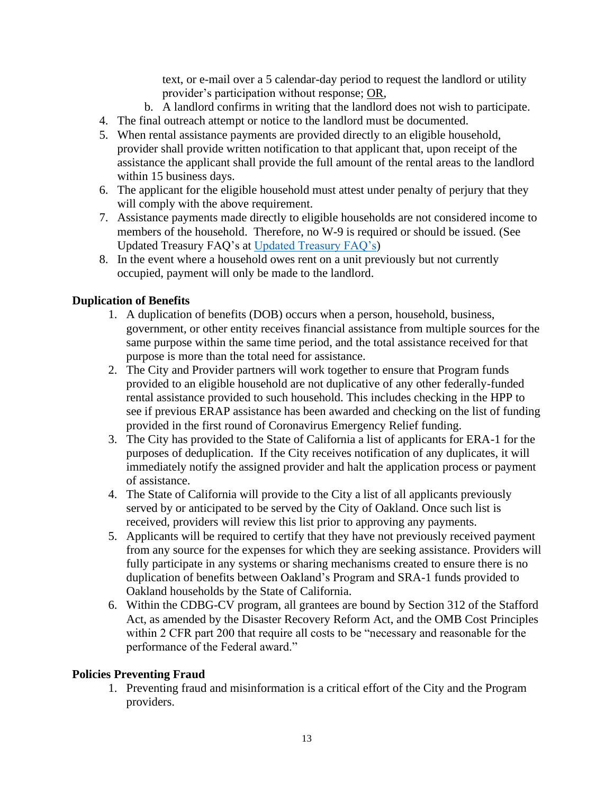text, or e-mail over a 5 calendar-day period to request the landlord or utility provider's participation without response; OR,

- b. A landlord confirms in writing that the landlord does not wish to participate.
- 4. The final outreach attempt or notice to the landlord must be documented.
- 5. When rental assistance payments are provided directly to an eligible household, provider shall provide written notification to that applicant that, upon receipt of the assistance the applicant shall provide the full amount of the rental areas to the landlord within 15 business days.
- 6. The applicant for the eligible household must attest under penalty of perjury that they will comply with the above requirement.
- 7. Assistance payments made directly to eligible households are not considered income to members of the household. Therefore, no W-9 is required or should be issued. (See Updated Treasury FAQ's at [Updated Treasury FAQ's\)](https://urldefense.proofpoint.com/v2/url?u=https-3A__www.irs.gov_newsroom_emergency-2Drental-2Dassistance-2Dfrequently-2Dasked-2Dquestions&d=DwMFAg&c=6ZboKdJzR8nZOqwBjhPnCw&r=SDkNHVoghI1kRxN7VdcPfh7pCTpZoBZGmvt03v6wifE&m=i4Lns7oNPLkl2i-Y6Tn-3Zz4zG3gAPo1V47lgTHbjToq2RcpuSrnZLA7CyLUVmHw&s=pNSaHOoDbKIrGds7-vbygrei3XtGBiVn7eQIvLIF18I&e=)
- 8. In the event where a household owes rent on a unit previously but not currently occupied, payment will only be made to the landlord.

#### <span id="page-12-0"></span>**Duplication of Benefits**

- 1. A duplication of benefits (DOB) occurs when a person, household, business, government, or other entity receives financial assistance from multiple sources for the same purpose within the same time period, and the total assistance received for that purpose is more than the total need for assistance.
- 2. The City and Provider partners will work together to ensure that Program funds provided to an eligible household are not duplicative of any other federally-funded rental assistance provided to such household. This includes checking in the HPP to see if previous ERAP assistance has been awarded and checking on the list of funding provided in the first round of Coronavirus Emergency Relief funding.
- 3. The City has provided to the State of California a list of applicants for ERA-1 for the purposes of deduplication. If the City receives notification of any duplicates, it will immediately notify the assigned provider and halt the application process or payment of assistance.
- 4. The State of California will provide to the City a list of all applicants previously served by or anticipated to be served by the City of Oakland. Once such list is received, providers will review this list prior to approving any payments.
- 5. Applicants will be required to certify that they have not previously received payment from any source for the expenses for which they are seeking assistance. Providers will fully participate in any systems or sharing mechanisms created to ensure there is no duplication of benefits between Oakland's Program and SRA-1 funds provided to Oakland households by the State of California.
- 6. Within the CDBG-CV program, all grantees are bound by Section 312 of the Stafford Act, as amended by the Disaster Recovery Reform Act, and the OMB Cost Principles within 2 CFR part 200 that require all costs to be "necessary and reasonable for the performance of the Federal award."

#### <span id="page-12-1"></span>**Policies Preventing Fraud**

1. Preventing fraud and misinformation is a critical effort of the City and the Program providers.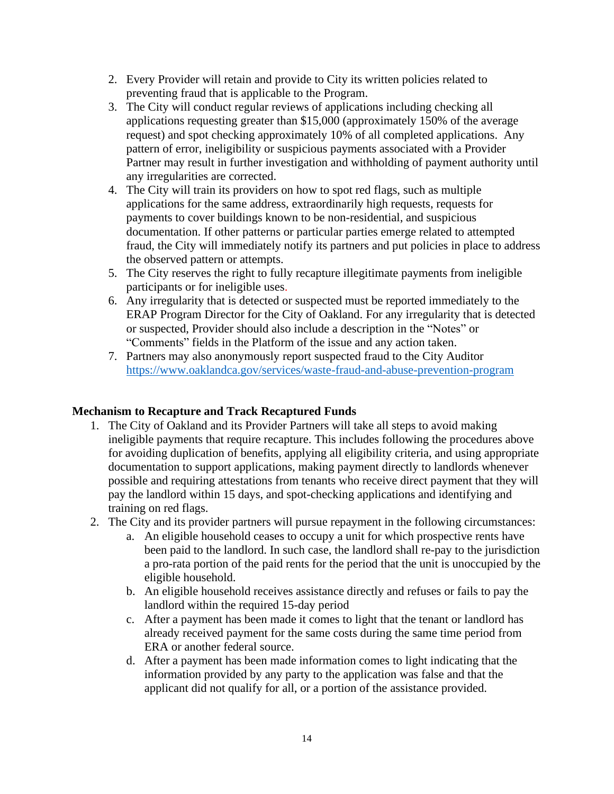- 2. Every Provider will retain and provide to City its written policies related to preventing fraud that is applicable to the Program.
- 3. The City will conduct regular reviews of applications including checking all applications requesting greater than \$15,000 (approximately 150% of the average request) and spot checking approximately 10% of all completed applications. Any pattern of error, ineligibility or suspicious payments associated with a Provider Partner may result in further investigation and withholding of payment authority until any irregularities are corrected.
- 4. The City will train its providers on how to spot red flags, such as multiple applications for the same address, extraordinarily high requests, requests for payments to cover buildings known to be non-residential, and suspicious documentation. If other patterns or particular parties emerge related to attempted fraud, the City will immediately notify its partners and put policies in place to address the observed pattern or attempts.
- 5. The City reserves the right to fully recapture illegitimate payments from ineligible participants or for ineligible uses.
- 6. Any irregularity that is detected or suspected must be reported immediately to the ERAP Program Director for the City of Oakland. For any irregularity that is detected or suspected, Provider should also include a description in the "Notes" or "Comments" fields in the Platform of the issue and any action taken.
- 7. Partners may also anonymously report suspected fraud to the City Auditor <https://www.oaklandca.gov/services/waste-fraud-and-abuse-prevention-program>

#### <span id="page-13-0"></span>**Mechanism to Recapture and Track Recaptured Funds**

- 1. The City of Oakland and its Provider Partners will take all steps to avoid making ineligible payments that require recapture. This includes following the procedures above for avoiding duplication of benefits, applying all eligibility criteria, and using appropriate documentation to support applications, making payment directly to landlords whenever possible and requiring attestations from tenants who receive direct payment that they will pay the landlord within 15 days, and spot-checking applications and identifying and training on red flags.
- 2. The City and its provider partners will pursue repayment in the following circumstances:
	- a. An eligible household ceases to occupy a unit for which prospective rents have been paid to the landlord. In such case, the landlord shall re-pay to the jurisdiction a pro-rata portion of the paid rents for the period that the unit is unoccupied by the eligible household.
	- b. An eligible household receives assistance directly and refuses or fails to pay the landlord within the required 15-day period
	- c. After a payment has been made it comes to light that the tenant or landlord has already received payment for the same costs during the same time period from ERA or another federal source.
	- d. After a payment has been made information comes to light indicating that the information provided by any party to the application was false and that the applicant did not qualify for all, or a portion of the assistance provided.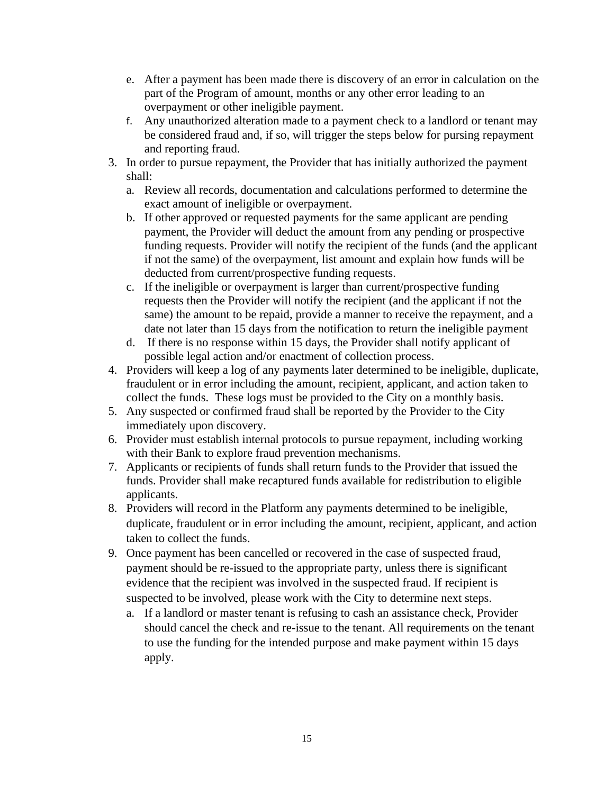- e. After a payment has been made there is discovery of an error in calculation on the part of the Program of amount, months or any other error leading to an overpayment or other ineligible payment.
- f. Any unauthorized alteration made to a payment check to a landlord or tenant may be considered fraud and, if so, will trigger the steps below for pursing repayment and reporting fraud.
- 3. In order to pursue repayment, the Provider that has initially authorized the payment shall:
	- a. Review all records, documentation and calculations performed to determine the exact amount of ineligible or overpayment.
	- b. If other approved or requested payments for the same applicant are pending payment, the Provider will deduct the amount from any pending or prospective funding requests. Provider will notify the recipient of the funds (and the applicant if not the same) of the overpayment, list amount and explain how funds will be deducted from current/prospective funding requests.
	- c. If the ineligible or overpayment is larger than current/prospective funding requests then the Provider will notify the recipient (and the applicant if not the same) the amount to be repaid, provide a manner to receive the repayment, and a date not later than 15 days from the notification to return the ineligible payment
	- d. If there is no response within 15 days, the Provider shall notify applicant of possible legal action and/or enactment of collection process.
- 4. Providers will keep a log of any payments later determined to be ineligible, duplicate, fraudulent or in error including the amount, recipient, applicant, and action taken to collect the funds. These logs must be provided to the City on a monthly basis.
- 5. Any suspected or confirmed fraud shall be reported by the Provider to the City immediately upon discovery.
- 6. Provider must establish internal protocols to pursue repayment, including working with their Bank to explore fraud prevention mechanisms.
- 7. Applicants or recipients of funds shall return funds to the Provider that issued the funds. Provider shall make recaptured funds available for redistribution to eligible applicants.
- 8. Providers will record in the Platform any payments determined to be ineligible, duplicate, fraudulent or in error including the amount, recipient, applicant, and action taken to collect the funds.
- <span id="page-14-0"></span>9. Once payment has been cancelled or recovered in the case of suspected fraud, payment should be re-issued to the appropriate party, unless there is significant evidence that the recipient was involved in the suspected fraud. If recipient is suspected to be involved, please work with the City to determine next steps.
	- a. If a landlord or master tenant is refusing to cash an assistance check, Provider should cancel the check and re-issue to the tenant. All requirements on the tenant to use the funding for the intended purpose and make payment within 15 days apply.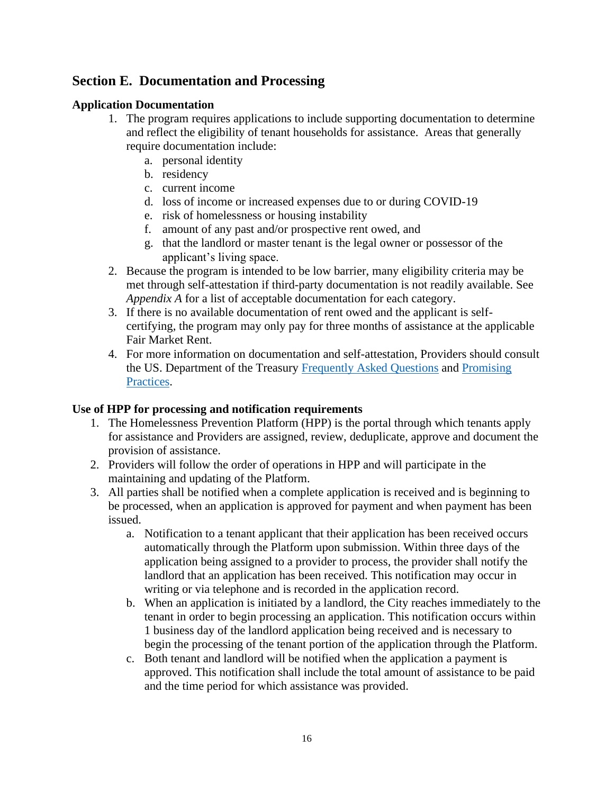## **Section E. Documentation and Processing**

#### <span id="page-15-0"></span>**Application Documentation**

- 1. The program requires applications to include supporting documentation to determine and reflect the eligibility of tenant households for assistance. Areas that generally require documentation include:
	- a. personal identity
	- b. residency
	- c. current income
	- d. loss of income or increased expenses due to or during COVID-19
	- e. risk of homelessness or housing instability
	- f. amount of any past and/or prospective rent owed, and
	- g. that the landlord or master tenant is the legal owner or possessor of the applicant's living space.
- 2. Because the program is intended to be low barrier, many eligibility criteria may be met through self-attestation if third-party documentation is not readily available. See *Appendix A* for a list of acceptable documentation for each category.
- 3. If there is no available documentation of rent owed and the applicant is selfcertifying, the program may only pay for three months of assistance at the applicable Fair Market Rent.
- 4. For more information on documentation and self-attestation, Providers should consult the US. Department of the Treasury [Frequently Asked Questions](https://home.treasury.gov/system/files/136/ERA-FAQ-8-25-2021.pdf) and [Promising](https://home.treasury.gov/policy-issues/coronavirus/assistance-for-state-local-and-tribal-governments/emergency-rental-assistance-program/promising-practices)  [Practices.](https://home.treasury.gov/policy-issues/coronavirus/assistance-for-state-local-and-tribal-governments/emergency-rental-assistance-program/promising-practices)

#### <span id="page-15-1"></span>**Use of HPP for processing and notification requirements**

- 1. The Homelessness Prevention Platform (HPP) is the portal through which tenants apply for assistance and Providers are assigned, review, deduplicate, approve and document the provision of assistance.
- 2. Providers will follow the order of operations in HPP and will participate in the maintaining and updating of the Platform.
- 3. All parties shall be notified when a complete application is received and is beginning to be processed, when an application is approved for payment and when payment has been issued.
	- a. Notification to a tenant applicant that their application has been received occurs automatically through the Platform upon submission. Within three days of the application being assigned to a provider to process, the provider shall notify the landlord that an application has been received. This notification may occur in writing or via telephone and is recorded in the application record.
	- b. When an application is initiated by a landlord, the City reaches immediately to the tenant in order to begin processing an application. This notification occurs within 1 business day of the landlord application being received and is necessary to begin the processing of the tenant portion of the application through the Platform.
	- c. Both tenant and landlord will be notified when the application a payment is approved. This notification shall include the total amount of assistance to be paid and the time period for which assistance was provided.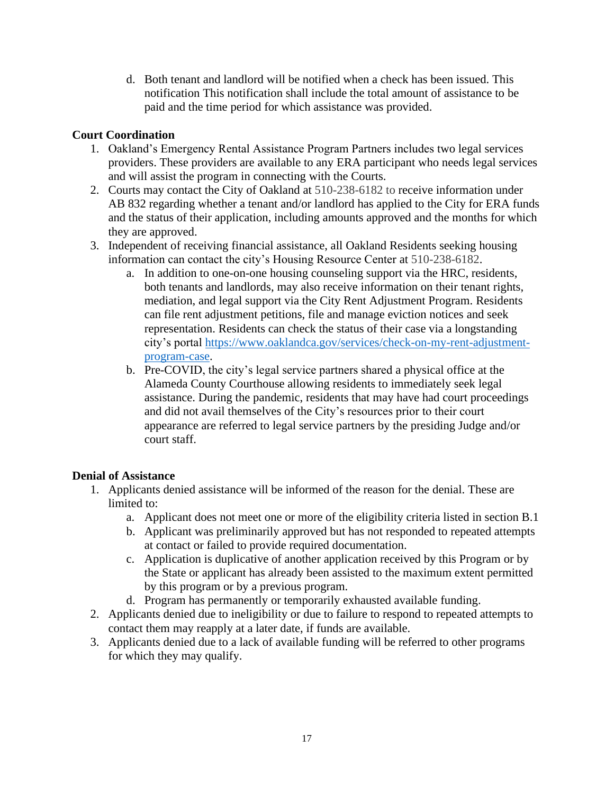d. Both tenant and landlord will be notified when a check has been issued. This notification This notification shall include the total amount of assistance to be paid and the time period for which assistance was provided.

#### <span id="page-16-0"></span>**Court Coordination**

- 1. Oakland's Emergency Rental Assistance Program Partners includes two legal services providers. These providers are available to any ERA participant who needs legal services and will assist the program in connecting with the Courts.
- 2. Courts may contact the City of Oakland at 510-238-6182 to receive information under AB 832 regarding whether a tenant and/or landlord has applied to the City for ERA funds and the status of their application, including amounts approved and the months for which they are approved.
- 3. Independent of receiving financial assistance, all Oakland Residents seeking housing information can contact the city's Housing Resource Center at 510-238-6182.
	- a. In addition to one-on-one housing counseling support via the HRC, residents, both tenants and landlords, may also receive information on their tenant rights, mediation, and legal support via the City Rent Adjustment Program. Residents can file rent adjustment petitions, file and manage eviction notices and seek representation. Residents can check the status of their case via a longstanding city's portal [https://www.oaklandca.gov/services/check-on-my-rent-adjustment](https://www.oaklandca.gov/services/check-on-my-rent-adjustment-program-case)[program-case.](https://www.oaklandca.gov/services/check-on-my-rent-adjustment-program-case)
	- b. Pre-COVID, the city's legal service partners shared a physical office at the Alameda County Courthouse allowing residents to immediately seek legal assistance. During the pandemic, residents that may have had court proceedings and did not avail themselves of the City's resources prior to their court appearance are referred to legal service partners by the presiding Judge and/or court staff.

## <span id="page-16-1"></span>**Denial of Assistance**

- 1. Applicants denied assistance will be informed of the reason for the denial. These are limited to:
	- a. Applicant does not meet one or more of the eligibility criteria listed in section B.1
	- b. Applicant was preliminarily approved but has not responded to repeated attempts at contact or failed to provide required documentation.
	- c. Application is duplicative of another application received by this Program or by the State or applicant has already been assisted to the maximum extent permitted by this program or by a previous program.
	- d. Program has permanently or temporarily exhausted available funding.
- 2. Applicants denied due to ineligibility or due to failure to respond to repeated attempts to contact them may reapply at a later date, if funds are available.
- 3. Applicants denied due to a lack of available funding will be referred to other programs for which they may qualify.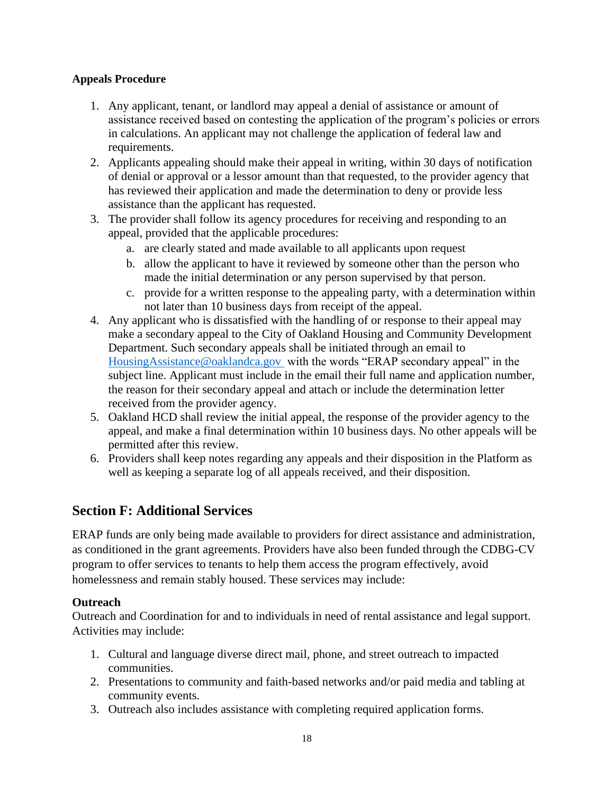#### **Appeals Procedure**

- 1. Any applicant, tenant, or landlord may appeal a denial of assistance or amount of assistance received based on contesting the application of the program's policies or errors in calculations. An applicant may not challenge the application of federal law and requirements.
- 2. Applicants appealing should make their appeal in writing, within 30 days of notification of denial or approval or a lessor amount than that requested, to the provider agency that has reviewed their application and made the determination to deny or provide less assistance than the applicant has requested.
- 3. The provider shall follow its agency procedures for receiving and responding to an appeal, provided that the applicable procedures:
	- a. are clearly stated and made available to all applicants upon request
	- b. allow the applicant to have it reviewed by someone other than the person who made the initial determination or any person supervised by that person.
	- c. provide for a written response to the appealing party, with a determination within not later than 10 business days from receipt of the appeal.
- 4. Any applicant who is dissatisfied with the handling of or response to their appeal may make a secondary appeal to the City of Oakland Housing and Community Development Department. Such secondary appeals shall be initiated through an email to [HousingAssistance@oaklandca.gov](mailto:HousingAssistance@oaklandca.gov) with the words "ERAP secondary appeal" in the subject line. Applicant must include in the email their full name and application number, the reason for their secondary appeal and attach or include the determination letter received from the provider agency.
- 5. Oakland HCD shall review the initial appeal, the response of the provider agency to the appeal, and make a final determination within 10 business days. No other appeals will be permitted after this review.
- 6. Providers shall keep notes regarding any appeals and their disposition in the Platform as well as keeping a separate log of all appeals received, and their disposition.

## <span id="page-17-0"></span>**Section F: Additional Services**

ERAP funds are only being made available to providers for direct assistance and administration, as conditioned in the grant agreements. Providers have also been funded through the CDBG-CV program to offer services to tenants to help them access the program effectively, avoid homelessness and remain stably housed. These services may include:

#### <span id="page-17-1"></span>**Outreach**

Outreach and Coordination for and to individuals in need of rental assistance and legal support. Activities may include:

- 1. Cultural and language diverse direct mail, phone, and street outreach to impacted communities.
- 2. Presentations to community and faith-based networks and/or paid media and tabling at community events.
- 3. Outreach also includes assistance with completing required application forms.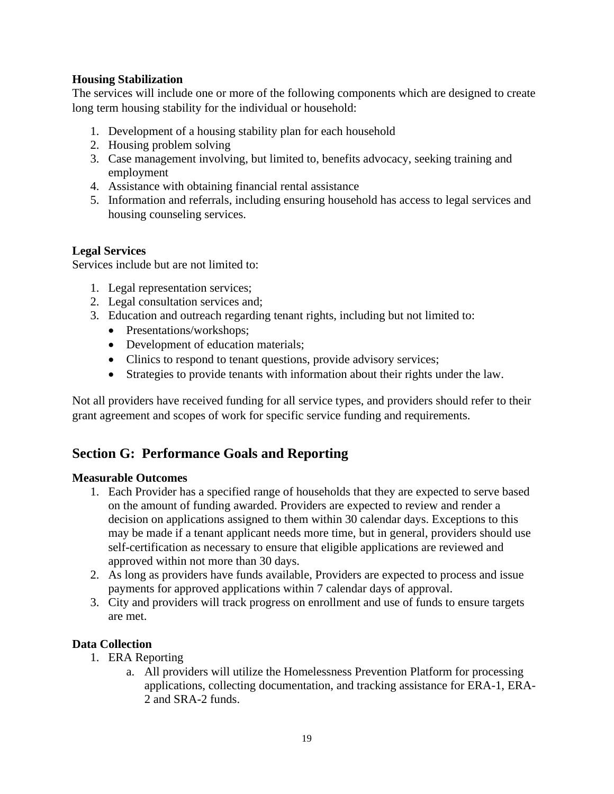#### <span id="page-18-0"></span>**Housing Stabilization**

The services will include one or more of the following components which are designed to create long term housing stability for the individual or household:

- 1. Development of a housing stability plan for each household
- 2. Housing problem solving
- 3. Case management involving, but limited to, benefits advocacy, seeking training and employment
- 4. Assistance with obtaining financial rental assistance
- 5. Information and referrals, including ensuring household has access to legal services and housing counseling services.

#### <span id="page-18-1"></span>**Legal Services**

Services include but are not limited to:

- 1. Legal representation services;
- 2. Legal consultation services and;
- 3. Education and outreach regarding tenant rights, including but not limited to:
	- Presentations/workshops;
	- Development of education materials;
	- Clinics to respond to tenant questions, provide advisory services;
	- Strategies to provide tenants with information about their rights under the law.

Not all providers have received funding for all service types, and providers should refer to their grant agreement and scopes of work for specific service funding and requirements.

## <span id="page-18-2"></span>**Section G: Performance Goals and Reporting**

#### <span id="page-18-3"></span>**Measurable Outcomes**

- 1. Each Provider has a specified range of households that they are expected to serve based on the amount of funding awarded. Providers are expected to review and render a decision on applications assigned to them within 30 calendar days. Exceptions to this may be made if a tenant applicant needs more time, but in general, providers should use self-certification as necessary to ensure that eligible applications are reviewed and approved within not more than 30 days.
- 2. As long as providers have funds available, Providers are expected to process and issue payments for approved applications within 7 calendar days of approval.
- 3. City and providers will track progress on enrollment and use of funds to ensure targets are met.

#### <span id="page-18-4"></span>**Data Collection**

- 1. ERA Reporting
	- a. All providers will utilize the Homelessness Prevention Platform for processing applications, collecting documentation, and tracking assistance for ERA-1, ERA-2 and SRA-2 funds.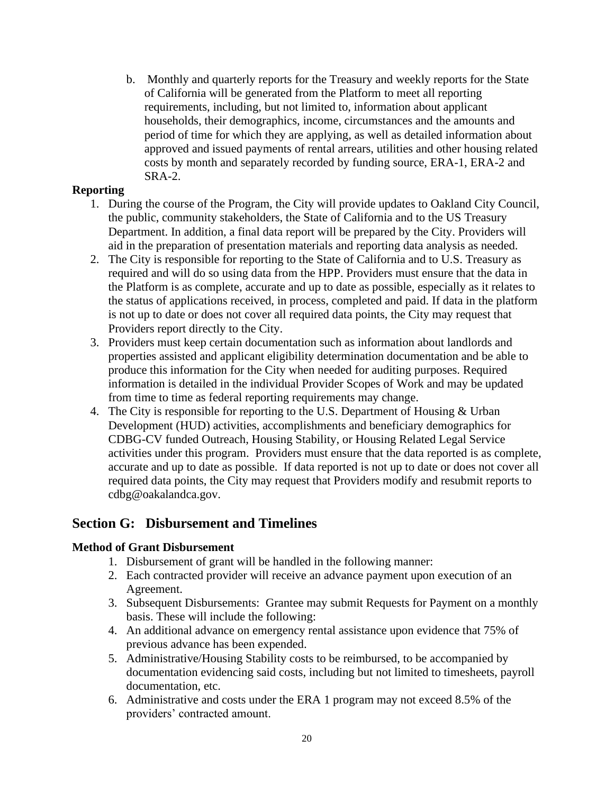b. Monthly and quarterly reports for the Treasury and weekly reports for the State of California will be generated from the Platform to meet all reporting requirements, including, but not limited to, information about applicant households, their demographics, income, circumstances and the amounts and period of time for which they are applying, as well as detailed information about approved and issued payments of rental arrears, utilities and other housing related costs by month and separately recorded by funding source, ERA-1, ERA-2 and SRA-2.

#### <span id="page-19-0"></span>**Reporting**

- 1. During the course of the Program, the City will provide updates to Oakland City Council, the public, community stakeholders, the State of California and to the US Treasury Department. In addition, a final data report will be prepared by the City. Providers will aid in the preparation of presentation materials and reporting data analysis as needed.
- 2. The City is responsible for reporting to the State of California and to U.S. Treasury as required and will do so using data from the HPP. Providers must ensure that the data in the Platform is as complete, accurate and up to date as possible, especially as it relates to the status of applications received, in process, completed and paid. If data in the platform is not up to date or does not cover all required data points, the City may request that Providers report directly to the City.
- 3. Providers must keep certain documentation such as information about landlords and properties assisted and applicant eligibility determination documentation and be able to produce this information for the City when needed for auditing purposes. Required information is detailed in the individual Provider Scopes of Work and may be updated from time to time as federal reporting requirements may change.
- 4. The City is responsible for reporting to the U.S. Department of Housing & Urban Development (HUD) activities, accomplishments and beneficiary demographics for CDBG-CV funded Outreach, Housing Stability, or Housing Related Legal Service activities under this program. Providers must ensure that the data reported is as complete, accurate and up to date as possible. If data reported is not up to date or does not cover all required data points, the City may request that Providers modify and resubmit reports to cdbg@oakalandca.gov.

## <span id="page-19-1"></span>**Section G: Disbursement and Timelines**

#### <span id="page-19-2"></span>**Method of Grant Disbursement**

- 1. Disbursement of grant will be handled in the following manner:
- 2. Each contracted provider will receive an advance payment upon execution of an Agreement.
- 3. Subsequent Disbursements: Grantee may submit Requests for Payment on a monthly basis. These will include the following:
- 4. An additional advance on emergency rental assistance upon evidence that 75% of previous advance has been expended.
- 5. Administrative/Housing Stability costs to be reimbursed, to be accompanied by documentation evidencing said costs, including but not limited to timesheets, payroll documentation, etc.
- 6. Administrative and costs under the ERA 1 program may not exceed 8.5% of the providers' contracted amount.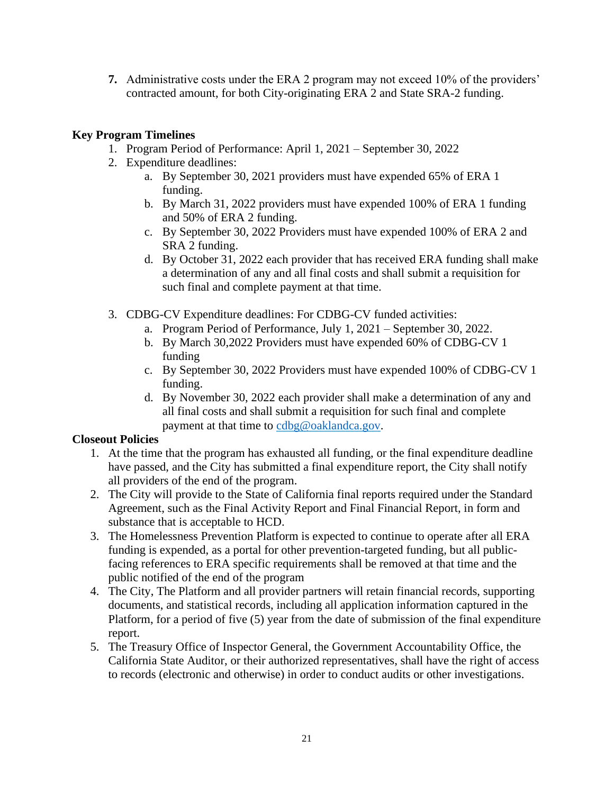**7.** Administrative costs under the ERA 2 program may not exceed 10% of the providers' contracted amount, for both City-originating ERA 2 and State SRA-2 funding.

#### <span id="page-20-0"></span>**Key Program Timelines**

- 1. Program Period of Performance: April 1, 2021 September 30, 2022
- 2. Expenditure deadlines:
	- a. By September 30, 2021 providers must have expended 65% of ERA 1 funding.
	- b. By March 31, 2022 providers must have expended 100% of ERA 1 funding and 50% of ERA 2 funding.
	- c. By September 30, 2022 Providers must have expended 100% of ERA 2 and SRA 2 funding.
	- d. By October 31, 2022 each provider that has received ERA funding shall make a determination of any and all final costs and shall submit a requisition for such final and complete payment at that time.
- 3. CDBG-CV Expenditure deadlines: For CDBG-CV funded activities:
	- a. Program Period of Performance, July 1, 2021 September 30, 2022.
	- b. By March 30,2022 Providers must have expended 60% of CDBG-CV 1 funding
	- c. By September 30, 2022 Providers must have expended 100% of CDBG-CV 1 funding.
	- d. By November 30, 2022 each provider shall make a determination of any and all final costs and shall submit a requisition for such final and complete payment at that time to [cdbg@oaklandca.gov.](mailto:cdbg@oaklandca.gov)

## <span id="page-20-1"></span>**Closeout Policies**

- 1. At the time that the program has exhausted all funding, or the final expenditure deadline have passed, and the City has submitted a final expenditure report, the City shall notify all providers of the end of the program.
- 2. The City will provide to the State of California final reports required under the Standard Agreement, such as the Final Activity Report and Final Financial Report, in form and substance that is acceptable to HCD.
- 3. The Homelessness Prevention Platform is expected to continue to operate after all ERA funding is expended, as a portal for other prevention-targeted funding, but all publicfacing references to ERA specific requirements shall be removed at that time and the public notified of the end of the program
- 4. The City, The Platform and all provider partners will retain financial records, supporting documents, and statistical records, including all application information captured in the Platform, for a period of five (5) year from the date of submission of the final expenditure report.
- 5. The Treasury Office of Inspector General, the Government Accountability Office, the California State Auditor, or their authorized representatives, shall have the right of access to records (electronic and otherwise) in order to conduct audits or other investigations.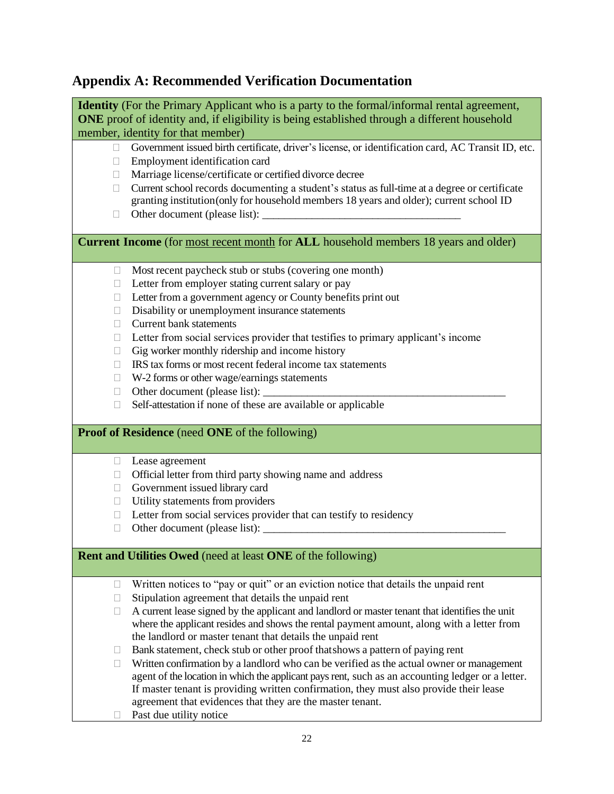# <span id="page-21-0"></span>**Appendix A: Recommended Verification Documentation**

|              | <b>Identity</b> (For the Primary Applicant who is a party to the formal/informal rental agreement,<br>ONE proof of identity and, if eligibility is being established through a different household |
|--------------|----------------------------------------------------------------------------------------------------------------------------------------------------------------------------------------------------|
|              | member, identity for that member)                                                                                                                                                                  |
| $\Box$       | Government issued birth certificate, driver's license, or identification card, AC Transit ID, etc.                                                                                                 |
| $\Box$       | Employment identification card                                                                                                                                                                     |
| $\mathbf{L}$ | Marriage license/certificate or certified divorce decree                                                                                                                                           |
| $\Box$       | Current school records documenting a student's status as full-time at a degree or certificate                                                                                                      |
|              | granting institution(only for household members 18 years and older); current school ID                                                                                                             |
| $\Box$       |                                                                                                                                                                                                    |
|              |                                                                                                                                                                                                    |
|              | Current Income (for most recent month for ALL household members 18 years and older)                                                                                                                |
| 0            | Most recent paycheck stub or stubs (covering one month)                                                                                                                                            |
| u            | Letter from employer stating current salary or pay                                                                                                                                                 |
| $\Box$       | Letter from a government agency or County benefits print out                                                                                                                                       |
| $\Box$       | Disability or unemployment insurance statements                                                                                                                                                    |
| П.           | <b>Current bank statements</b>                                                                                                                                                                     |
| u            | Letter from social services provider that testifies to primary applicant's income                                                                                                                  |
| $\Box$       | Gig worker monthly ridership and income history                                                                                                                                                    |
| $\Box$       | IRS tax forms or most recent federal income tax statements                                                                                                                                         |
| 0            | W-2 forms or other wage/earnings statements                                                                                                                                                        |
| u            |                                                                                                                                                                                                    |
| $\Box$       | Self-attestation if none of these are available or applicable                                                                                                                                      |
|              |                                                                                                                                                                                                    |
|              | <b>Proof of Residence</b> (need <b>ONE</b> of the following)                                                                                                                                       |
| $\Box$       | Lease agreement                                                                                                                                                                                    |
| $\Box$       | Official letter from third party showing name and address                                                                                                                                          |
| u            | Government issued library card                                                                                                                                                                     |
| $\Box$       | Utility statements from providers                                                                                                                                                                  |
| 0            | Letter from social services provider that can testify to residency                                                                                                                                 |
| $\Box$       |                                                                                                                                                                                                    |
|              |                                                                                                                                                                                                    |
|              | Rent and Utilities Owed (need at least ONE of the following)                                                                                                                                       |
| u            | Written notices to "pay or quit" or an eviction notice that details the unpaid rent                                                                                                                |
| $\Box$       | Stipulation agreement that details the unpaid rent                                                                                                                                                 |
| $\Box$       | A current lease signed by the applicant and landlord or master tenant that identifies the unit                                                                                                     |
|              | where the applicant resides and shows the rental payment amount, along with a letter from                                                                                                          |
|              | the landlord or master tenant that details the unpaid rent                                                                                                                                         |
| u            | Bank statement, check stub or other proof that shows a pattern of paying rent                                                                                                                      |
| 0            | Written confirmation by a landlord who can be verified as the actual owner or management                                                                                                           |
|              | agent of the location in which the applicant pays rent, such as an accounting ledger or a letter.                                                                                                  |
|              | If master tenant is providing written confirmation, they must also provide their lease                                                                                                             |
|              | agreement that evidences that they are the master tenant.                                                                                                                                          |
|              | Past due utility notice                                                                                                                                                                            |